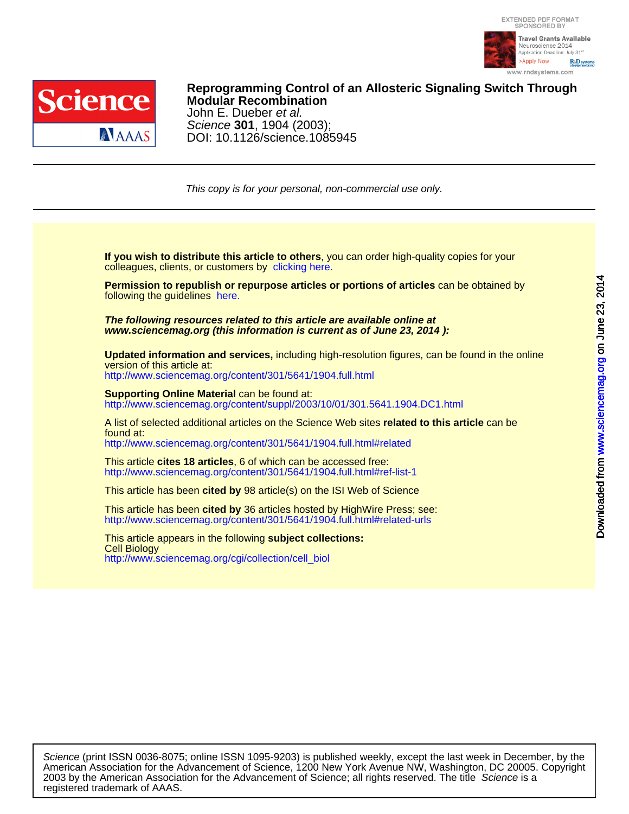



DOI: 10.1126/science.1085945 Science **301**, 1904 (2003); John E. Dueber et al. **Modular Recombination Reprogramming Control of an Allosteric Signaling Switch Through**

This copy is for your personal, non-commercial use only.

colleagues, clients, or customers by [clicking here.](http://www.sciencemag.org/about/permissions.dtl) **If you wish to distribute this article to others**, you can order high-quality copies for your

following the guidelines [here.](http://www.sciencemag.org/about/permissions.dtl) **Permission to republish or repurpose articles or portions of articles** can be obtained by

**www.sciencemag.org (this information is current as of June 23, 2014 ): The following resources related to this article are available online at**

version of this article at: **Updated information and services,** including high-resolution figures, can be found in the online

<http://www.sciencemag.org/content/301/5641/1904.full.html>

[http://www.sciencemag.org/content/suppl/2003/10/01/301.5641.1904.DC1.html](http://www.sciencemag.org/content/suppl/2003/10/01/301.5641.1904.DC1.html )  **Supporting Online Material** can be found at:

<http://www.sciencemag.org/content/301/5641/1904.full.html#related> found at: A list of selected additional articles on the Science Web sites **related to this article** can be

<http://www.sciencemag.org/content/301/5641/1904.full.html#ref-list-1> This article **cites 18 articles**, 6 of which can be accessed free:

This article has been **cited by** 98 article(s) on the ISI Web of Science

<http://www.sciencemag.org/content/301/5641/1904.full.html#related-urls> This article has been **cited by** 36 articles hosted by HighWire Press; see:

[http://www.sciencemag.org/cgi/collection/cell\\_biol](http://www.sciencemag.org/cgi/collection/cell_biol) Cell Biology This article appears in the following **subject collections:**

registered trademark of AAAS. 2003 by the American Association for the Advancement of Science; all rights reserved. The title Science is a American Association for the Advancement of Science, 1200 New York Avenue NW, Washington, DC 20005. Copyright Science (print ISSN 0036-8075; online ISSN 1095-9203) is published weekly, except the last week in December, by the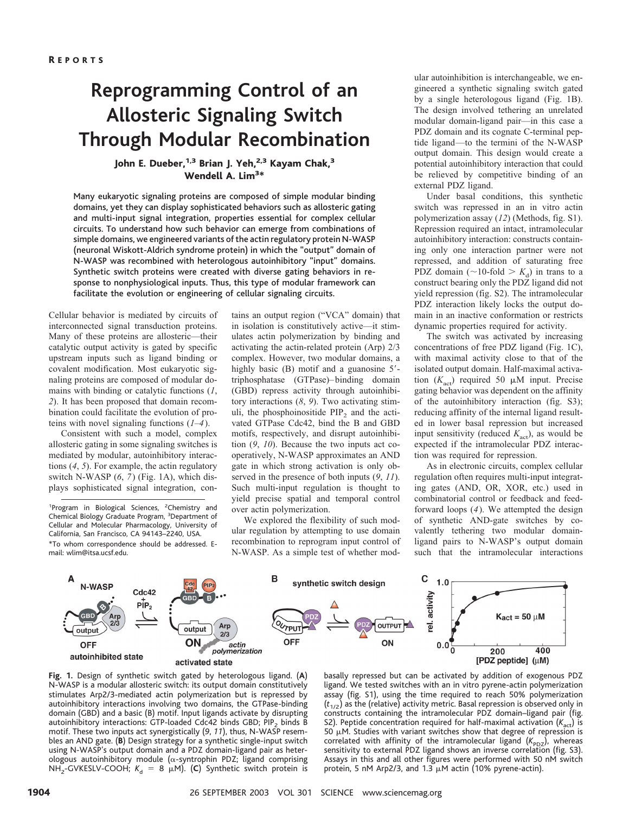# **Reprogramming Control of an Allosteric Signaling Switch Through Modular Recombination**

# John E. Dueber,<sup>1,3</sup> Brian J. Yeh,<sup>2,3</sup> Kayam Chak,<sup>3</sup> Wendell A. Lim<sup>3\*</sup>

Many eukaryotic signaling proteins are composed of simple modular binding domains, yet they can display sophisticated behaviors such as allosteric gating and multi-input signal integration, properties essential for complex cellular circuits. To understand how such behavior can emerge from combinations of simple domains, we engineered variants of the actin regulatory protein N-WASP (neuronal Wiskott-Aldrich syndrome protein) in which the "output" domain of N-WASP was recombined with heterologous autoinhibitory "input" domains. Synthetic switch proteins were created with diverse gating behaviors in response to nonphysiological inputs. Thus, this type of modular framework can facilitate the evolution or engineering of cellular signaling circuits.

Cellular behavior is mediated by circuits of interconnected signal transduction proteins. Many of these proteins are allosteric—their catalytic output activity is gated by specific upstream inputs such as ligand binding or covalent modification. Most eukaryotic signaling proteins are composed of modular domains with binding or catalytic functions (*1*, *2*). It has been proposed that domain recombination could facilitate the evolution of proteins with novel signaling functions (*1*–*4*).

Consistent with such a model, complex allosteric gating in some signaling switches is mediated by modular, autoinhibitory interactions (*4*, *5*). For example, the actin regulatory switch N-WASP (*6*, *7*) (Fig. 1A), which displays sophisticated signal integration, con-

<sup>1</sup>Program in Biological Sciences, <sup>2</sup>Chemistry and Chemical Biology Graduate Program, <sup>3</sup>Department of Cellular and Molecular Pharmacology, University of California, San Francisco, CA 94143–2240, USA. \*To whom correspondence should be addressed. Email: wlim@itsa.ucsf.edu.

tains an output region ("VCA" domain) that in isolation is constitutively active—it stimulates actin polymerization by binding and activating the actin-related protein (Arp) 2/3 complex. However, two modular domains, a highly basic (B) motif and a guanosine 5'triphosphatase (GTPase)–binding domain (GBD) repress activity through autoinhibitory interactions (*8*, *9*). Two activating stimuli, the phosphoinositide  $PIP<sub>2</sub>$  and the activated GTPase Cdc42, bind the B and GBD motifs, respectively, and disrupt autoinhibition (*9*, *10*). Because the two inputs act cooperatively, N-WASP approximates an AND gate in which strong activation is only observed in the presence of both inputs (*9*, *11*). Such multi-input regulation is thought to yield precise spatial and temporal control over actin polymerization.

We explored the flexibility of such modular regulation by attempting to use domain recombination to reprogram input control of N-WASP. As a simple test of whether modular autoinhibition is interchangeable, we engineered a synthetic signaling switch gated by a single heterologous ligand (Fig. 1B). The design involved tethering an unrelated modular domain-ligand pair—in this case a PDZ domain and its cognate C-terminal peptide ligand—to the termini of the N-WASP output domain. This design would create a potential autoinhibitory interaction that could be relieved by competitive binding of an external PDZ ligand.

Under basal conditions, this synthetic switch was repressed in an in vitro actin polymerization assay (*12*) (Methods, fig. S1). Repression required an intact, intramolecular autoinhibitory interaction: constructs containing only one interaction partner were not repressed, and addition of saturating free PDZ domain ( $\sim$ 10-fold  $> K_d$ ) in trans to a construct bearing only the PDZ ligand did not yield repression (fig. S2). The intramolecular PDZ interaction likely locks the output domain in an inactive conformation or restricts dynamic properties required for activity.

The switch was activated by increasing concentrations of free PDZ ligand (Fig. 1C), with maximal activity close to that of the isolated output domain. Half-maximal activation  $(K_{\text{act}})$  required 50  $\mu$ M input. Precise gating behavior was dependent on the affinity of the autoinhibitory interaction (fig. S3); reducing affinity of the internal ligand resulted in lower basal repression but increased input sensitivity (reduced  $K_{\text{act}}$ ), as would be expected if the intramolecular PDZ interaction was required for repression.

As in electronic circuits, complex cellular regulation often requires multi-input integrating gates (AND, OR, XOR, etc.) used in combinatorial control or feedback and feedforward loops (*4*). We attempted the design of synthetic AND-gate switches by covalently tethering two modular domainligand pairs to N-WASP's output domain such that the intramolecular interactions



**Fig. 1.** Design of synthetic switch gated by heterologous ligand. (**A**) N-WASP is a modular allosteric switch: its output domain constitutively stimulates Arp2/3-mediated actin polymerization but is repressed by autoinhibitory interactions involving two domains, the GTPase-binding domain (GBD) and a basic (B) motif. Input ligands activate by disrupting autoinhibitory interactions: GTP-loaded Cdc42 binds GBD; PIP<sub>2</sub> binds B motif. These two inputs act synergistically (*9*, *11*), thus, N-WASP resembles an AND gate. (**B**) Design strategy for a synthetic single-input switch using N-WASP's output domain and a PDZ domain-ligand pair as heterologous autoinhibitory module ( $\alpha$ -syntrophin PDZ; ligand comprising NH<sub>2</sub>-GVKESLV-COOH;  $K_d = 8 \mu M$ ). (C) Synthetic switch protein is

basally repressed but can be activated by addition of exogenous PDZ ligand. We tested switches with an in vitro pyrene-actin polymerization assay (fig. S1), using the time required to reach 50% polymerization (*t*1/2) as the (relative) activity metric. Basal repression is observed only in constructs containing the intramolecular PDZ domain–ligand pair (fig. S2). Peptide concentration required for half-maximal activation  $(K_{\text{act}})$  is 50  $\mu$ M. Studies with variant switches show that degree of repression is correlated with affinity of the intramolecular ligand  $(K_{\text{PDZ}})$ , whereas sensitivity to external PDZ ligand shows an inverse correlation (fig. S3). Assays in this and all other figures were performed with 50 nM switch protein, 5 nM Arp2/3, and 1.3  $\mu$ M actin (10% pyrene-actin).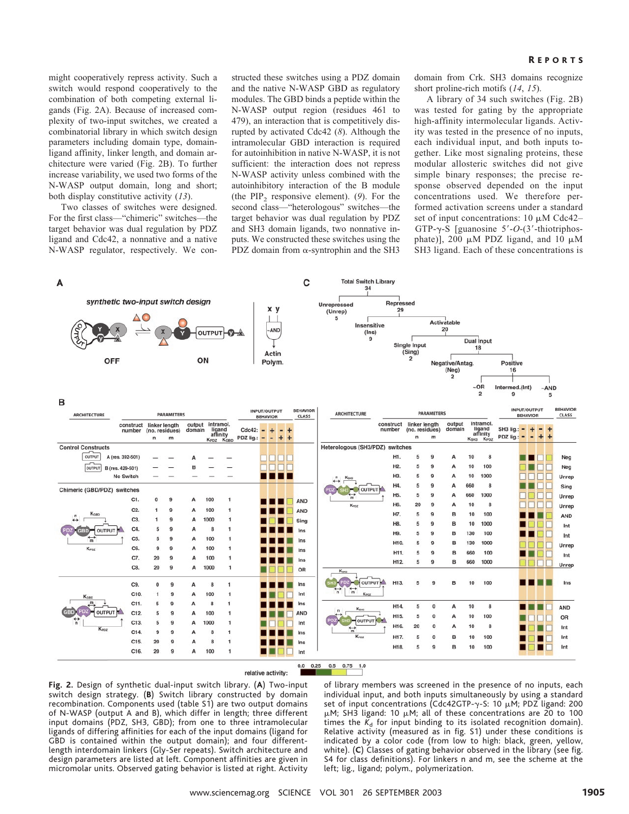might cooperatively repress activity. Such a switch would respond cooperatively to the combination of both competing external ligands (Fig. 2A). Because of increased complexity of two-input switches, we created a combinatorial library in which switch design parameters including domain type, domainligand affinity, linker length, and domain architecture were varied (Fig. 2B). To further increase variability, we used two forms of the N-WASP output domain, long and short; both display constitutive activity (*13*).

Two classes of switches were designed. For the first class—"chimeric" switches—the target behavior was dual regulation by PDZ ligand and Cdc42, a nonnative and a native N-WASP regulator, respectively. We constructed these switches using a PDZ domain and the native N-WASP GBD as regulatory modules. The GBD binds a peptide within the N-WASP output region (residues 461 to 479), an interaction that is competitively disrupted by activated Cdc42 (*8*). Although the intramolecular GBD interaction is required for autoinhibition in native N-WASP, it is not sufficient: the interaction does not repress N-WASP activity unless combined with the autoinhibitory interaction of the B module (the  $PIP_2$  responsive element). (9). For the second class—"heterologous" switches—the target behavior was dual regulation by PDZ and SH3 domain ligands, two nonnative inputs. We constructed these switches using the PDZ domain from  $\alpha$ -syntrophin and the SH3 domain from Crk. SH3 domains recognize short proline-rich motifs (*14*, *15*).

A library of 34 such switches (Fig. 2B) was tested for gating by the appropriate high-affinity intermolecular ligands. Activity was tested in the presence of no inputs, each individual input, and both inputs together. Like most signaling proteins, these modular allosteric switches did not give simple binary responses; the precise response observed depended on the input concentrations used. We therefore performed activation screens under a standard set of input concentrations:  $10 \mu M$  Cdc42-GTP- $\gamma$ -S [guanosine 5'-O-(3'-thiotriphosphate)], 200  $\mu$ M PDZ ligand, and 10  $\mu$ M SH3 ligand. Each of these concentrations is



**Fig. 2.** Design of synthetic dual-input switch library. (**A**) Two-input switch design strategy. (**B**) Switch library constructed by domain recombination. Components used (table S1) are two output domains of N-WASP (output A and B), which differ in length; three different input domains (PDZ, SH3, GBD); from one to three intramolecular ligands of differing affinities for each of the input domains (ligand for GBD is contained within the output domain); and four differentlength interdomain linkers (Gly-Ser repeats). Switch architecture and design parameters are listed at left. Component affinities are given in micromolar units. Observed gating behavior is listed at right. Activity

of library members was screened in the presence of no inputs, each individual input, and both inputs simultaneously by using a standard set of input concentrations (Cdc42GTP- $\gamma$ -S: 10  $\mu$ M; PDZ ligand: 200  $\mu$ M; SH3 ligand: 10  $\mu$ M; all of these concentrations are 20 to 100 times the  $K_d$  for input binding to its isolated recognition domain). Relative activity (measured as in fig. S1) under these conditions is indicated by a color code (from low to high: black, green, yellow, white). (**C**) Classes of gating behavior observed in the library (see fig. S4 for class definitions). For linkers n and m, see the scheme at the left; lig., ligand; polym., polymerization.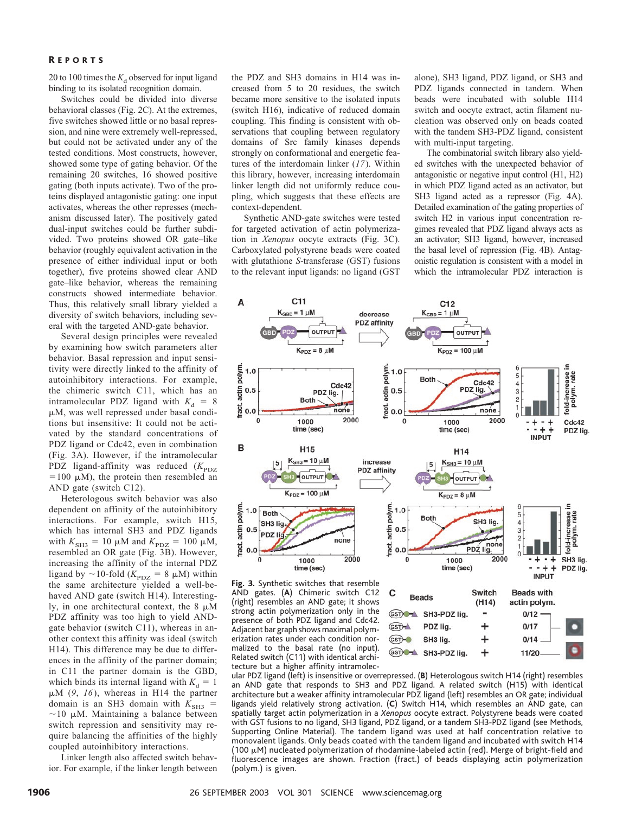### R EPORTS

20 to 100 times the  $K_d$  observed for input ligand binding to its isolated recognition domain.

Switches could be divided into diverse behavioral classes (Fig. 2C). At the extremes, five switches showed little or no basal repression, and nine were extremely well-repressed, but could not be activated under any of the tested conditions. Most constructs, however, showed some type of gating behavior. Of the remaining 20 switches, 16 showed positive gating (both inputs activate). Two of the proteins displayed antagonistic gating: one input activates, whereas the other represses (mechanism discussed later). The positively gated dual-input switches could be further subdivided. Two proteins showed OR gate–like behavior (roughly equivalent activation in the presence of either individual input or both together), five proteins showed clear AND gate–like behavior, whereas the remaining constructs showed intermediate behavior. Thus, this relatively small library yielded a diversity of switch behaviors, including several with the targeted AND-gate behavior.

Several design principles were revealed by examining how switch parameters alter behavior. Basal repression and input sensitivity were directly linked to the affinity of autoinhibitory interactions. For example, the chimeric switch C11, which has an intramolecular PDZ ligand with  $K_d = 8$ M, was well repressed under basal conditions but insensitive: It could not be activated by the standard concentrations of PDZ ligand or Cdc42, even in combination (Fig. 3A). However, if the intramolecular PDZ ligand-affinity was reduced  $(K_{\text{PDZ}})$  $=100 \mu M$ ), the protein then resembled an AND gate (switch C12).

Heterologous switch behavior was also dependent on affinity of the autoinhibitory interactions. For example, switch H15, which has internal SH3 and PDZ ligands with  $K_{\text{SH3}} = 10 \mu \text{M}$  and  $K_{\text{PDZ}} = 100 \mu \text{M}$ , resembled an OR gate (Fig. 3B). However, increasing the affinity of the internal PDZ ligand by  $\sim$  10-fold ( $K_{\text{PDZ}}$  = 8  $\mu$ M) within the same architecture yielded a well-behaved AND gate (switch H14). Interestingly, in one architectural context, the  $8 \mu M$ PDZ affinity was too high to yield ANDgate behavior (switch C11), whereas in another context this affinity was ideal (switch H14). This difference may be due to differences in the affinity of the partner domain; in C11 the partner domain is the GBD, which binds its internal ligand with  $K_d = 1$ M (*9*, *16*), whereas in H14 the partner domain is an SH3 domain with  $K_{\text{SH3}}$  =  $\sim$ 10 µM. Maintaining a balance between switch repression and sensitivity may require balancing the affinities of the highly coupled autoinhibitory interactions.

Linker length also affected switch behavior. For example, if the linker length between the PDZ and SH3 domains in H14 was increased from 5 to 20 residues, the switch became more sensitive to the isolated inputs (switch H16), indicative of reduced domain coupling. This finding is consistent with observations that coupling between regulatory domains of Src family kinases depends strongly on conformational and energetic features of the interdomain linker (*17*). Within this library, however, increasing interdomain linker length did not uniformly reduce coupling, which suggests that these effects are context-dependent.

Synthetic AND-gate switches were tested for targeted activation of actin polymerization in *Xenopus* oocyte extracts (Fig. 3C). Carboxylated polystyrene beads were coated with glutathione *S*-transferase (GST) fusions to the relevant input ligands: no ligand (GST

alone), SH3 ligand, PDZ ligand, or SH3 and PDZ ligands connected in tandem. When beads were incubated with soluble H14 switch and oocyte extract, actin filament nucleation was observed only on beads coated with the tandem SH3-PDZ ligand, consistent with multi-input targeting.

The combinatorial switch library also yielded switches with the unexpected behavior of antagonistic or negative input control (H1, H2) in which PDZ ligand acted as an activator, but SH3 ligand acted as a repressor (Fig. 4A). Detailed examination of the gating properties of switch H2 in various input concentration regimes revealed that PDZ ligand always acts as an activator; SH3 ligand, however, increased the basal level of repression (Fig. 4B). Antagonistic regulation is consistent with a model in which the intramolecular PDZ interaction is



AND gates. (**A**) Chimeric switch C12 (right) resembles an AND gate; it shows strong actin polymerization only in the presence of both PDZ ligand and Cdc42. Adjacent bar graph shows maximal polymerization rates under each condition normalized to the basal rate (no input). Related switch (C11) with identical architecture but a higher affinity intramolec-



ular PDZ ligand (left) is insensitive or overrepressed. (**B**) Heterologous switch H14 (right) resembles an AND gate that responds to SH3 and PDZ ligand. A related switch (H15) with identical architecture but a weaker affinity intramolecular PDZ ligand (left) resembles an OR gate; individual ligands yield relatively strong activation. (**C**) Switch H14, which resembles an AND gate, can spatially target actin polymerization in a *Xenopus* oocyte extract. Polystyrene beads were coated with GST fusions to no ligand, SH3 ligand, PDZ ligand, or a tandem SH3-PDZ ligand (see Methods, Supporting Online Material). The tandem ligand was used at half concentration relative to monovalent ligands. Only beads coated with the tandem ligand and incubated with switch H14 (100  $\mu$ M) nucleated polymerization of rhodamine-labeled actin (red). Merge of bright-field and fluorescence images are shown. Fraction (fract.) of beads displaying actin polymerization (polym.) is given.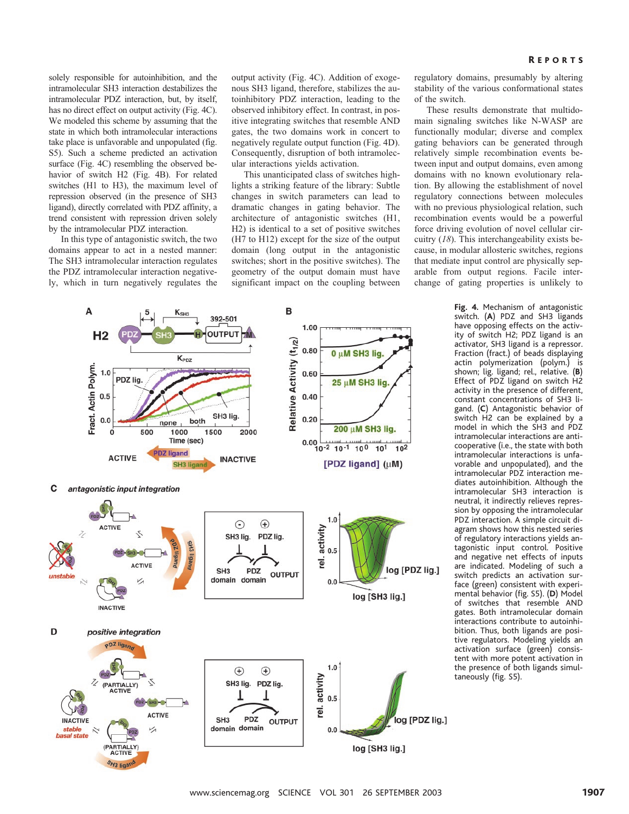solely responsible for autoinhibition, and the intramolecular SH3 interaction destabilizes the intramolecular PDZ interaction, but, by itself, has no direct effect on output activity (Fig. 4C). We modeled this scheme by assuming that the state in which both intramolecular interactions take place is unfavorable and unpopulated (fig. S5). Such a scheme predicted an activation surface (Fig. 4C) resembling the observed behavior of switch H2 (Fig. 4B). For related switches (H1 to H3), the maximum level of repression observed (in the presence of SH3 ligand), directly correlated with PDZ affinity, a trend consistent with repression driven solely by the intramolecular PDZ interaction.

In this type of antagonistic switch, the two domains appear to act in a nested manner: The SH3 intramolecular interaction regulates the PDZ intramolecular interaction negatively, which in turn negatively regulates the output activity (Fig. 4C). Addition of exogenous SH3 ligand, therefore, stabilizes the autoinhibitory PDZ interaction, leading to the observed inhibitory effect. In contrast, in positive integrating switches that resemble AND gates, the two domains work in concert to negatively regulate output function (Fig. 4D). Consequently, disruption of both intramolecular interactions yields activation.

This unanticipated class of switches highlights a striking feature of the library: Subtle changes in switch parameters can lead to dramatic changes in gating behavior. The architecture of antagonistic switches (H1, H2) is identical to a set of positive switches (H7 to H12) except for the size of the output domain (long output in the antagonistic switches; short in the positive switches). The geometry of the output domain must have significant impact on the coupling between

regulatory domains, presumably by altering stability of the various conformational states of the switch.

These results demonstrate that multidomain signaling switches like N-WASP are functionally modular; diverse and complex gating behaviors can be generated through relatively simple recombination events between input and output domains, even among domains with no known evolutionary relation. By allowing the establishment of novel regulatory connections between molecules with no previous physiological relation, such recombination events would be a powerful force driving evolution of novel cellular circuitry (*18*). This interchangeability exists because, in modular allosteric switches, regions that mediate input control are physically separable from output regions. Facile interchange of gating properties is unlikely to



**Fig. 4.** Mechanism of antagonistic switch. (**A**) PDZ and SH3 ligands have opposing effects on the activity of switch H2; PDZ ligand is an activator, SH3 ligand is a repressor. Fraction (fract.) of beads displaying actin polymerization (polym.) is shown; lig. ligand; rel., relative. (**B**) Effect of PDZ ligand on switch H2 activity in the presence of different, constant concentrations of SH3 ligand. (**C**) Antagonistic behavior of switch H2 can be explained by a model in which the SH3 and PDZ intramolecular interactions are anticooperative (i.e., the state with both intramolecular interactions is unfavorable and unpopulated), and the intramolecular PDZ interaction mediates autoinhibition. Although the intramolecular SH3 interaction is neutral, it indirectly relieves repression by opposing the intramolecular PDZ interaction. A simple circuit diagram shows how this nested series of regulatory interactions yields antagonistic input control. Positive and negative net effects of inputs are indicated. Modeling of such a switch predicts an activation surface (green) consistent with experimental behavior (fig. S5). (**D**) Model of switches that resemble AND gates. Both intramolecular domain interactions contribute to autoinhibition. Thus, both ligands are positive regulators. Modeling yields an activation surface (green) consistent with more potent activation in the presence of both ligands simultaneously (fig. S5).